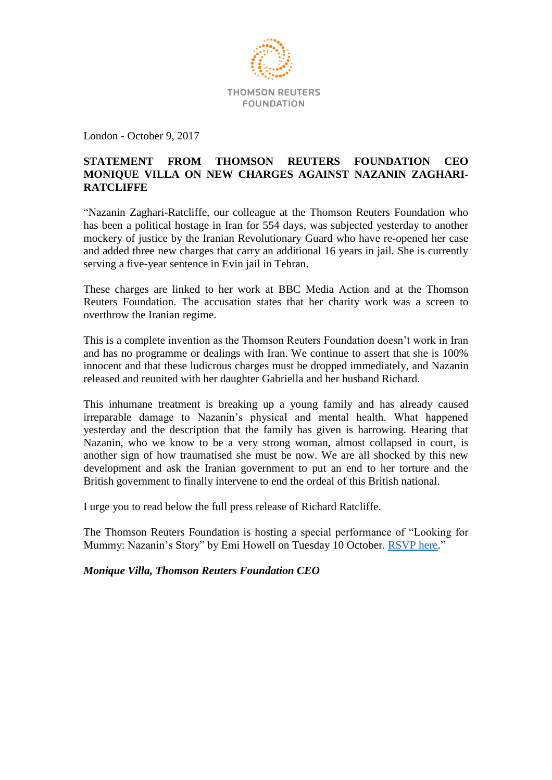

London - October 9, 2017

# **STATEMENT FROM THOMSON REUTERS FOUNDATION CEO MONIQUE VILLA ON NEW CHARGES AGAINST NAZANIN ZAGHARI-RATCLIFFE**

"Nazanin Zaghari-Ratcliffe, our colleague at the Thomson Reuters Foundation who has been a political hostage in Iran for 554 days, was subjected yesterday to another mockery of justice by the Iranian Revolutionary Guard who have re-opened her case and added three new charges that carry an additional 16 years in jail. She is currently serving a five-year sentence in Evin jail in Tehran.

These charges are linked to her work at BBC Media Action and at the Thomson Reuters Foundation. The accusation states that her charity work was a screen to overthrow the Iranian regime.

This is a complete invention as the Thomson Reuters Foundation doesn't work in Iran and has no programme or dealings with Iran. We continue to assert that she is 100% innocent and that these ludicrous charges must be dropped immediately, and Nazanin released and reunited with her daughter Gabriella and her husband Richard.

This inhumane treatment is breaking up a young family and has already caused irreparable damage to Nazanin's physical and mental health. What happened yesterday and the description that the family has given is harrowing. Hearing that Nazanin, who we know to be a very strong woman, almost collapsed in court, is another sign of how traumatised she must be now. We are all shocked by this new development and ask the Iranian government to put an end to her torture and the British government to finally intervene to end the ordeal of this British national.

I urge you to read below the full press release of Richard Ratcliffe.

The Thomson Reuters Foundation is hosting a special performance of "Looking for Mummy: Nazanin's Story" by Emi Howell on Tuesday 10 October. [RSVP here.](http://www.trust.org/newsletter/nazanin-invitation/)"

*Monique Villa, Thomson Reuters Foundation CEO*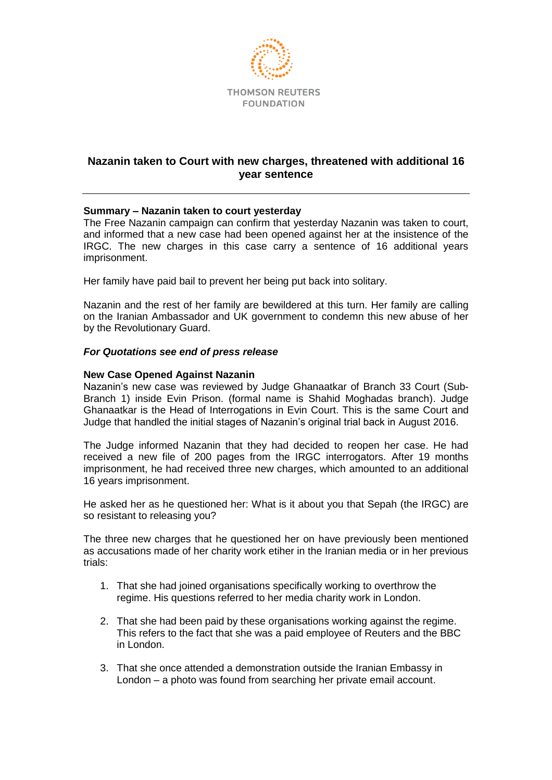

# **Nazanin taken to Court with new charges, threatened with additional 16 year sentence**

# **Summary – Nazanin taken to court yesterday**

The Free Nazanin campaign can confirm that yesterday Nazanin was taken to court, and informed that a new case had been opened against her at the insistence of the IRGC. The new charges in this case carry a sentence of 16 additional years imprisonment.

Her family have paid bail to prevent her being put back into solitary.

Nazanin and the rest of her family are bewildered at this turn. Her family are calling on the Iranian Ambassador and UK government to condemn this new abuse of her by the Revolutionary Guard.

## *For Quotations see end of press release*

## **New Case Opened Against Nazanin**

Nazanin's new case was reviewed by Judge Ghanaatkar of Branch 33 Court (Sub-Branch 1) inside Evin Prison. (formal name is Shahid Moghadas branch). Judge Ghanaatkar is the Head of Interrogations in Evin Court. This is the same Court and Judge that handled the initial stages of Nazanin's original trial back in August 2016.

The Judge informed Nazanin that they had decided to reopen her case. He had received a new file of 200 pages from the IRGC interrogators. After 19 months imprisonment, he had received three new charges, which amounted to an additional 16 years imprisonment.

He asked her as he questioned her: What is it about you that Sepah (the IRGC) are so resistant to releasing you?

The three new charges that he questioned her on have previously been mentioned as accusations made of her charity work etiher in the Iranian media or in her previous trials:

- 1. That she had joined organisations specifically working to overthrow the regime. His questions referred to her media charity work in London.
- 2. That she had been paid by these organisations working against the regime. This refers to the fact that she was a paid employee of Reuters and the BBC in London.
- 3. That she once attended a demonstration outside the Iranian Embassy in London – a photo was found from searching her private email account.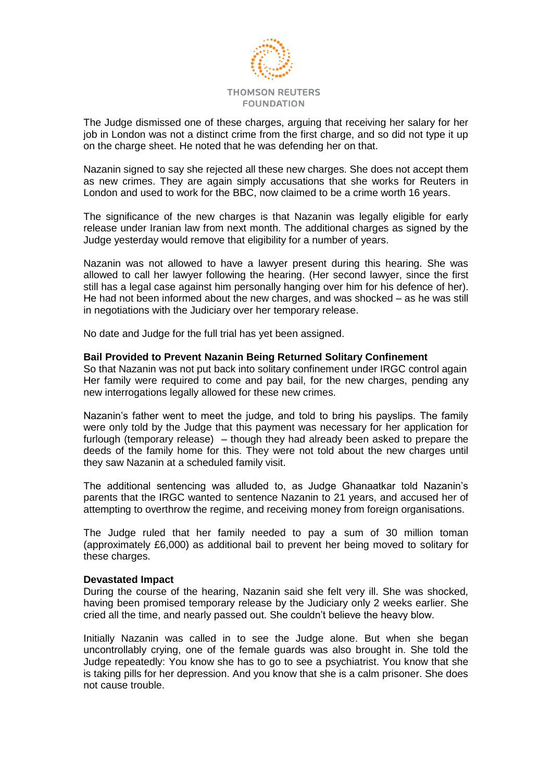

The Judge dismissed one of these charges, arguing that receiving her salary for her job in London was not a distinct crime from the first charge, and so did not type it up on the charge sheet. He noted that he was defending her on that.

Nazanin signed to say she rejected all these new charges. She does not accept them as new crimes. They are again simply accusations that she works for Reuters in London and used to work for the BBC, now claimed to be a crime worth 16 years.

The significance of the new charges is that Nazanin was legally eligible for early release under Iranian law from next month. The additional charges as signed by the Judge yesterday would remove that eligibility for a number of years.

Nazanin was not allowed to have a lawyer present during this hearing. She was allowed to call her lawyer following the hearing. (Her second lawyer, since the first still has a legal case against him personally hanging over him for his defence of her). He had not been informed about the new charges, and was shocked – as he was still in negotiations with the Judiciary over her temporary release.

No date and Judge for the full trial has yet been assigned.

#### **Bail Provided to Prevent Nazanin Being Returned Solitary Confinement**

So that Nazanin was not put back into solitary confinement under IRGC control again Her family were required to come and pay bail, for the new charges, pending any new interrogations legally allowed for these new crimes.

Nazanin's father went to meet the judge, and told to bring his payslips. The family were only told by the Judge that this payment was necessary for her application for furlough (temporary release) – though they had already been asked to prepare the deeds of the family home for this. They were not told about the new charges until they saw Nazanin at a scheduled family visit.

The additional sentencing was alluded to, as Judge Ghanaatkar told Nazanin's parents that the IRGC wanted to sentence Nazanin to 21 years, and accused her of attempting to overthrow the regime, and receiving money from foreign organisations.

The Judge ruled that her family needed to pay a sum of 30 million toman (approximately £6,000) as additional bail to prevent her being moved to solitary for these charges.

#### **Devastated Impact**

During the course of the hearing, Nazanin said she felt very ill. She was shocked, having been promised temporary release by the Judiciary only 2 weeks earlier. She cried all the time, and nearly passed out. She couldn't believe the heavy blow.

Initially Nazanin was called in to see the Judge alone. But when she began uncontrollably crying, one of the female guards was also brought in. She told the Judge repeatedly: You know she has to go to see a psychiatrist. You know that she is taking pills for her depression. And you know that she is a calm prisoner. She does not cause trouble.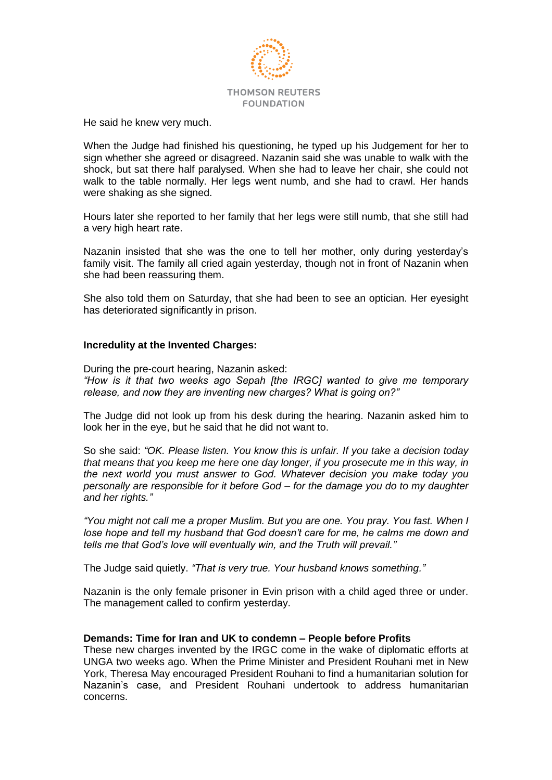

He said he knew very much.

When the Judge had finished his questioning, he typed up his Judgement for her to sign whether she agreed or disagreed. Nazanin said she was unable to walk with the shock, but sat there half paralysed. When she had to leave her chair, she could not walk to the table normally. Her legs went numb, and she had to crawl. Her hands were shaking as she signed.

Hours later she reported to her family that her legs were still numb, that she still had a very high heart rate.

Nazanin insisted that she was the one to tell her mother, only during yesterday's family visit. The family all cried again yesterday, though not in front of Nazanin when she had been reassuring them.

She also told them on Saturday, that she had been to see an optician. Her eyesight has deteriorated significantly in prison.

## **Incredulity at the Invented Charges:**

During the pre-court hearing, Nazanin asked: *"How is it that two weeks ago Sepah [the IRGC] wanted to give me temporary release, and now they are inventing new charges? What is going on?"* 

The Judge did not look up from his desk during the hearing. Nazanin asked him to look her in the eye, but he said that he did not want to.

So she said: *"OK. Please listen. You know this is unfair. If you take a decision today that means that you keep me here one day longer, if you prosecute me in this way, in the next world you must answer to God. Whatever decision you make today you personally are responsible for it before God – for the damage you do to my daughter and her rights."*

*"You might not call me a proper Muslim. But you are one. You pray. You fast. When I lose hope and tell my husband that God doesn't care for me, he calms me down and tells me that God's love will eventually win, and the Truth will prevail."*

The Judge said quietly. *"That is very true. Your husband knows something."*

Nazanin is the only female prisoner in Evin prison with a child aged three or under. The management called to confirm yesterday.

## **Demands: Time for Iran and UK to condemn – People before Profits**

These new charges invented by the IRGC come in the wake of diplomatic efforts at UNGA two weeks ago. When the Prime Minister and President Rouhani met in New York, Theresa May encouraged President Rouhani to find a humanitarian solution for Nazanin's case, and President Rouhani undertook to address humanitarian concerns.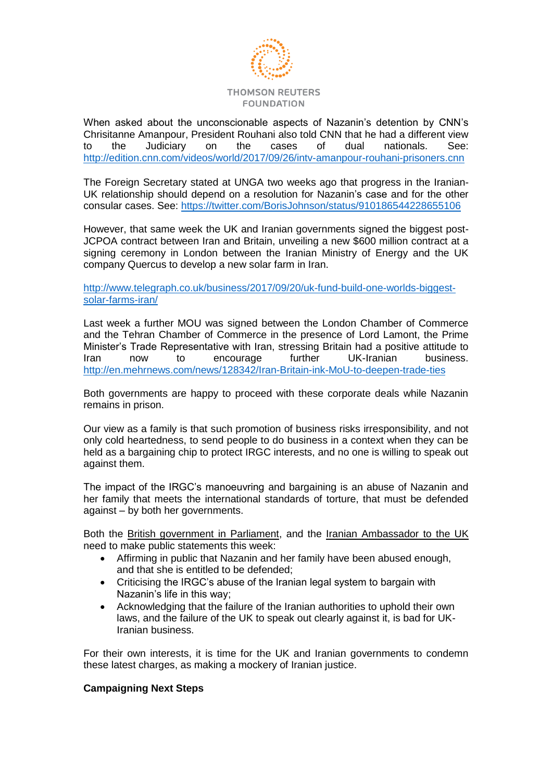

When asked about the unconscionable aspects of Nazanin's detention by CNN's Chrisitanne Amanpour, President Rouhani also told CNN that he had a different view to the Judiciary on the cases of dual nationals. See: <http://edition.cnn.com/videos/world/2017/09/26/intv-amanpour-rouhani-prisoners.cnn>

The Foreign Secretary stated at UNGA two weeks ago that progress in the Iranian-UK relationship should depend on a resolution for Nazanin's case and for the other consular cases. See: <https://twitter.com/BorisJohnson/status/910186544228655106>

However, that same week the UK and Iranian governments signed the biggest post-JCPOA contract between Iran and Britain, unveiling a new \$600 million contract at a signing ceremony in London between the Iranian Ministry of Energy and the UK company Quercus to develop a new solar farm in Iran.

[http://www.telegraph.co.uk/business/2017/09/20/uk-fund-build-one-worlds-biggest](http://www.telegraph.co.uk/business/2017/09/20/uk-fund-build-one-worlds-biggest-solar-farms-iran/)[solar-farms-iran/](http://www.telegraph.co.uk/business/2017/09/20/uk-fund-build-one-worlds-biggest-solar-farms-iran/)

Last week a further MOU was signed between the London Chamber of Commerce and the Tehran Chamber of Commerce in the presence of Lord Lamont, the Prime Minister's Trade Representative with Iran, stressing Britain had a positive attitude to Iran now to encourage further UK-Iranian business. <http://en.mehrnews.com/news/128342/Iran-Britain-ink-MoU-to-deepen-trade-ties>

Both governments are happy to proceed with these corporate deals while Nazanin remains in prison.

Our view as a family is that such promotion of business risks irresponsibility, and not only cold heartedness, to send people to do business in a context when they can be held as a bargaining chip to protect IRGC interests, and no one is willing to speak out against them.

The impact of the IRGC's manoeuvring and bargaining is an abuse of Nazanin and her family that meets the international standards of torture, that must be defended against – by both her governments.

Both the British government in Parliament, and the Iranian Ambassador to the UK need to make public statements this week:

- Affirming in public that Nazanin and her family have been abused enough, and that she is entitled to be defended;
- Criticising the IRGC's abuse of the Iranian legal system to bargain with Nazanin's life in this way;
- Acknowledging that the failure of the Iranian authorities to uphold their own laws, and the failure of the UK to speak out clearly against it, is bad for UK-Iranian business.

For their own interests, it is time for the UK and Iranian governments to condemn these latest charges, as making a mockery of Iranian justice.

# **Campaigning Next Steps**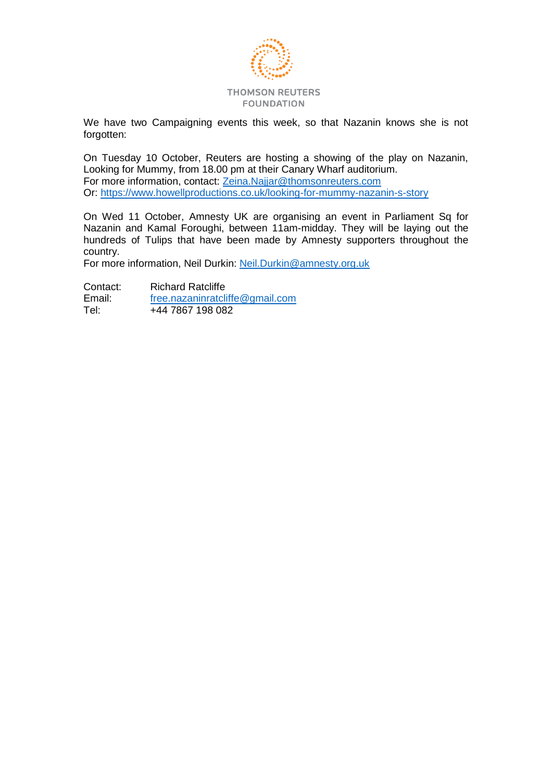

We have two Campaigning events this week, so that Nazanin knows she is not forgotten:

On Tuesday 10 October, Reuters are hosting a showing of the play on Nazanin, Looking for Mummy, from 18.00 pm at their Canary Wharf auditorium. For more information, contact: [Zeina.Najjar@thomsonreuters.com](mailto:Zeina.Najjar@thomsonreuters.com) Or:<https://www.howellproductions.co.uk/looking-for-mummy-nazanin-s-story>

On Wed 11 October, Amnesty UK are organising an event in Parliament Sq for Nazanin and Kamal Foroughi, between 11am-midday. They will be laying out the hundreds of Tulips that have been made by Amnesty supporters throughout the country.

For more information, Neil Durkin: [Neil.Durkin@amnesty.org.uk](mailto:Neil.Durkin@amnesty.org.uk)

Contact: Richard Ratcliffe<br>
Email: free.nazaninratcli Email: [free.nazaninratcliffe@gmail.com](mailto:free.nazaninratcliffe@gmail.com)<br>Tel: +44 7867 198 082 +44 7867 198 082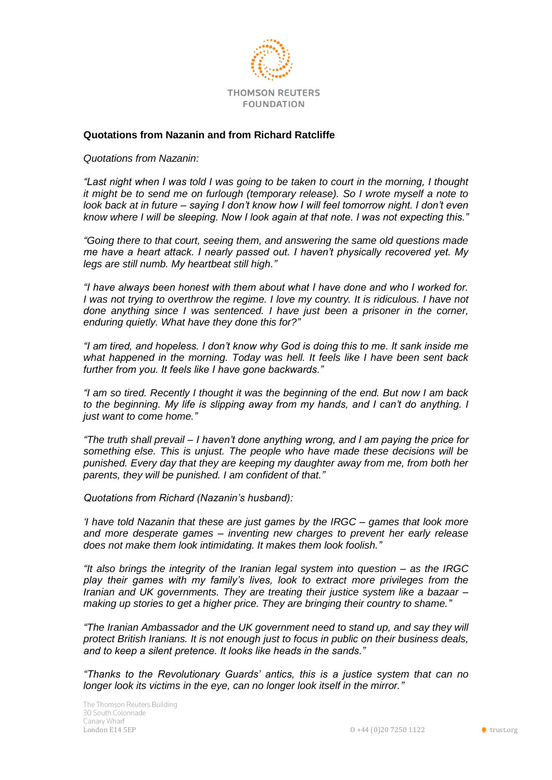

# **Quotations from Nazanin and from Richard Ratcliffe**

*Quotations from Nazanin:*

*"Last night when I was told I was going to be taken to court in the morning, I thought it might be to send me on furlough (temporary release). So I wrote myself a note to look back at in future – saying I don't know how I will feel tomorrow night. I don't even know where I will be sleeping. Now I look again at that note. I was not expecting this."*

*"Going there to that court, seeing them, and answering the same old questions made me have a heart attack. I nearly passed out. I haven't physically recovered yet. My legs are still numb. My heartbeat still high."*

*"I have always been honest with them about what I have done and who I worked for. I* was not trying to overthrow the regime. I love my country. It is ridiculous. I have not *done anything since I was sentenced. I have just been a prisoner in the corner, enduring quietly. What have they done this for?"* 

*"I am tired, and hopeless. I don't know why God is doing this to me. It sank inside me what happened in the morning. Today was hell. It feels like I have been sent back further from you. It feels like I have gone backwards."*

*"I am so tired. Recently I thought it was the beginning of the end. But now I am back to the beginning. My life is slipping away from my hands, and I can't do anything. I just want to come home."*

*"The truth shall prevail – I haven't done anything wrong, and I am paying the price for something else. This is unjust. The people who have made these decisions will be punished. Every day that they are keeping my daughter away from me, from both her parents, they will be punished. I am confident of that."*

*Quotations from Richard (Nazanin's husband):* 

*'I have told Nazanin that these are just games by the IRGC – games that look more and more desperate games – inventing new charges to prevent her early release does not make them look intimidating. It makes them look foolish."*

*"It also brings the integrity of the Iranian legal system into question – as the IRGC play their games with my family's lives, look to extract more privileges from the Iranian and UK governments. They are treating their justice system like a bazaar – making up stories to get a higher price. They are bringing their country to shame."*

*"The Iranian Ambassador and the UK government need to stand up, and say they will protect British Iranians. It is not enough just to focus in public on their business deals, and to keep a silent pretence. It looks like heads in the sands."*

*"Thanks to the Revolutionary Guards' antics, this is a justice system that can no longer look its victims in the eye, can no longer look itself in the mirror."*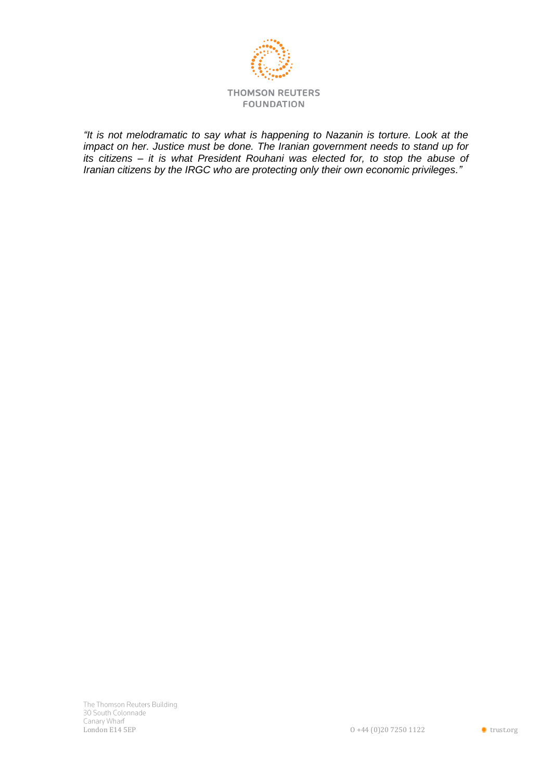

*"It is not melodramatic to say what is happening to Nazanin is torture. Look at the impact on her. Justice must be done. The Iranian government needs to stand up for its citizens – it is what President Rouhani was elected for, to stop the abuse of Iranian citizens by the IRGC who are protecting only their own economic privileges."*